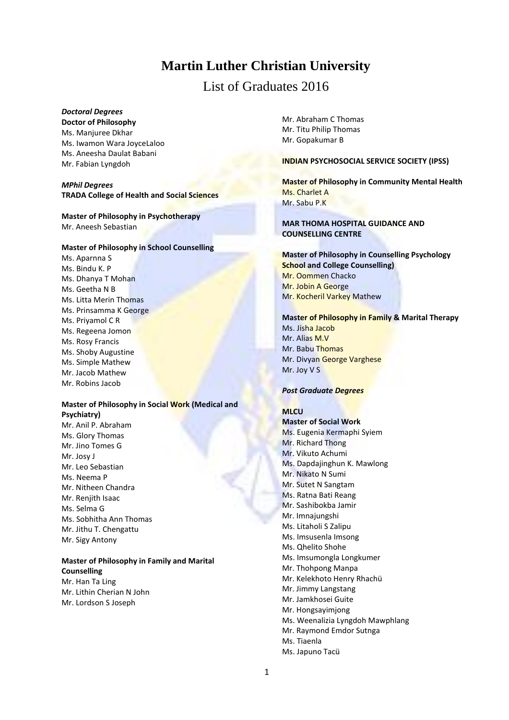# **Martin Luther Christian University**

# List of Graduates 2016

# *Doctoral Degrees*

**Doctor of Philosophy**

Ms. Manjuree Dkhar Ms. Iwamon Wara JoyceLaloo Ms. Aneesha Daulat Babani Mr. Fabian Lyngdoh

# *MPhil Degrees* **TRADA College of Health and Social Sciences**

# **Master of Philosophy in Psychotherapy** Mr. Aneesh Sebastian

### **Master of Philosophy in School Counselling**

Ms. Aparnna S Ms. Bindu K. P Ms. Dhanya T Mohan Ms. Geetha N B Ms. Litta Merin Thomas Ms. Prinsamma K George Ms. Priyamol C R Ms. Regeena Jomon Ms. Rosy Francis Ms. Shoby Augustine Ms. Simple Mathew Mr. Jacob Mathew Mr. Robins Jacob

### **Master of Philosophy in Social Work (Medical and Psychiatry)**  Mr. Anil P. Abraham

Ms. Glory Thomas Mr. Jino Tomes G Mr. Josy J Mr. Leo Sebastian Ms. Neema P Mr. Nitheen Chandra Mr. Renjith Isaac Ms. Selma G Ms. Sobhitha Ann Thomas Mr. Jithu T. Chengattu Mr. Sigy Antony

# **Master of Philosophy in Family and Marital Counselling**

Mr. Han Ta Ling Mr. Lithin Cherian N John Mr. Lordson S Joseph

Mr. Abraham C Thomas Mr. Titu Philip Thomas Mr. Gopakumar B

### **INDIAN PSYCHOSOCIAL SERVICE SOCIETY (IPSS)**

**Master of Philosophy in Community Mental Health** Ms. Charlet A Mr. Sabu P.K

# **MAR THOMA HOSPITAL GUIDANCE AND COUNSELLING CENTRE**

# **Master of Philosophy in Counselling Psychology School and College Counselling)** Mr. Oommen Chacko Mr. Jobin A George Mr. Kocheril Varkey Mathew

### **Master of Philosophy in Family & Marital Therapy**

Ms. Jisha Jacob Mr. Alias M.V Mr. Babu Thomas Mr. Divyan George Varghese Mr. Joy V S

### *Post Graduate Degrees*

# **MLCU**

**Master of Social Work** Ms. Eugenia Kermaphi Syiem Mr. Richard Thong Mr. Vikuto Achumi Ms. Dapdajinghun K. Mawlong Mr. Nikato N Sumi Mr. Sutet N Sangtam Ms. Ratna Bati Reang Mr. Sashibokba Jamir Mr. Imnajungshi Ms. Litaholi S Zalipu Ms. Imsusenla Imsong Ms. Qhelito Shohe Ms. Imsumongla Longkumer Mr. Thohpong Manpa Mr. Kelekhoto Henry Rhachü Mr. Jimmy Langstang Mr. Jamkhosei Guite Mr. Hongsayimjong Ms. Weenalizia Lyngdoh Mawphlang Mr. Raymond Emdor Sutnga Ms. Tiaenla Ms. Japuno Tacü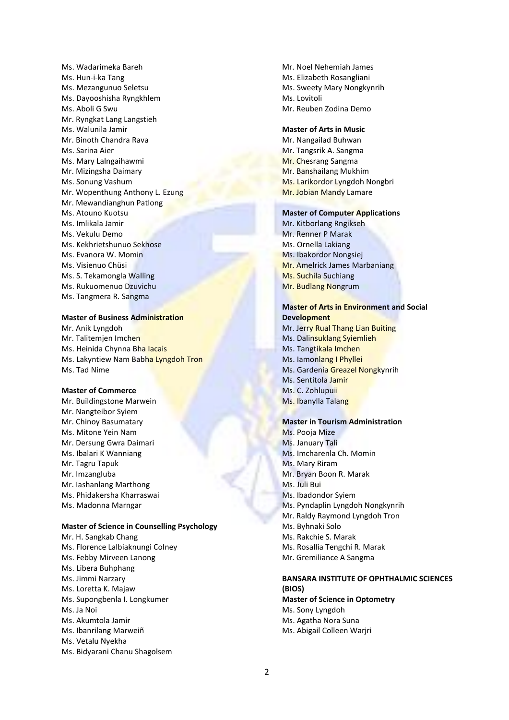Ms. Wadarimeka Bareh Ms. Hun-i-ka Tang Ms. Mezangunuo Seletsu Ms. Dayooshisha Ryngkhlem Ms. Aboli G Swu Mr. Ryngkat Lang Langstieh Ms. Walunila Jamir Mr. Binoth Chandra Rava Ms. Sarina Aier Ms. Mary Lalngaihawmi Mr. Mizingsha Daimary Ms. Sonung Vashum Mr. Wopenthung Anthony L. Ezung Mr. Mewandianghun Patlong Ms. Atouno Kuotsu Ms. Imlikala Jamir Ms. Vekulu Demo Ms. Kekhrietshunuo Sekhose Ms. Evanora W. Momin Ms. Visienuo Chüsi Ms. S. Tekamongla Walling Ms. Rukuomenuo Dzuvichu Ms. Tangmera R. Sangma

### **Master of Business Administration**

Mr. Anik Lyngdoh Mr. Talitemjen Imchen Ms. Heinida Chynna Bha Iacais Ms. Lakyntiew Nam Babha Lyngdoh Tron Ms. Tad Nime

### **Master of Commerce**

Mr. Buildingstone Marwein Mr. Nangteibor Syiem Mr. Chinoy Basumatary Ms. Mitone Yein Nam Mr. Dersung Gwra Daimari Ms. Ibalari K Wanniang Mr. Tagru Tapuk Mr. Imzangluba Mr. Iashanlang Marthong Ms. Phidakersha Kharraswai Ms. Madonna Marngar

### **Master of Science in Counselling Psychology**

Mr. H. Sangkab Chang Ms. Florence Lalbiaknungi Colney Ms. Febby Mirveen Lanong Ms. Libera Buhphang Ms. Jimmi Narzary Ms. Loretta K. Majaw Ms. Supongbenla I. Longkumer Ms. Ja Noi Ms. Akumtola Jamir Ms. Ibanrilang Marweiñ Ms. Vetalu Nyekha Ms. Bidyarani Chanu Shagolsem

Mr. Noel Nehemiah James Ms. Elizabeth Rosangliani Ms. Sweety Mary Nongkynrih Ms. Lovitoli Mr. Reuben Zodina Demo

#### **Master of Arts in Music**

Mr. Nangailad Buhwan Mr. Tangsrik A. Sangma Mr. Chesrang Sangma Mr. Banshailang Mukhim Ms. Larikordor Lyngdoh Nongbri Mr. Jobian Mandy Lamare

### **Master of Computer Applications**

Mr. Kitborlang Rngikseh Mr. Renner P Marak Ms. Ornella Lakiang Ms. Ibakordor Nongsiej Mr. Amelrick James Marbaniang Ms. Suchila Suchiang Mr. Budlang Nongrum

# **Master of Arts in Environment and Social Development**

Mr. Jerry Rual Thang Lian Buiting Ms. Dalinsuklang Syiemlieh Ms. Tangtikala Imchen Ms. Iamonlang I Phyllei Ms. Gardenia Greazel Nongkynrih Ms. Sentitola Jamir Ms. C. Zohlupuii Ms. Ibanylla Talang

# **Master in Tourism Administration**

Ms. Pooja Mize Ms. January Tali Ms. Imcharenla Ch. Momin Ms. Mary Riram Mr. Bryan Boon R. Marak Ms. Juli Bui Ms. Ibadondor Syiem Ms. Pyndaplin Lyngdoh Nongkynrih Mr. Raldy Raymond Lyngdoh Tron Ms. Byhnaki Solo Ms. Rakchie S. Marak Ms. Rosallia Tengchi R. Marak Mr. Gremiliance A Sangma

# **BANSARA INSTITUTE OF OPHTHALMIC SCIENCES (BIOS)**

**Master of Science in Optometry** Ms. Sony Lyngdoh Ms. Agatha Nora Suna Ms. Abigail Colleen Warjri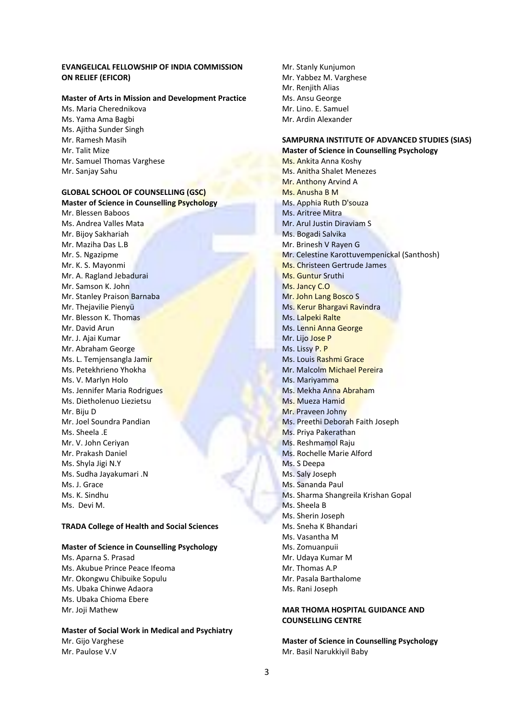### **EVANGELICAL FELLOWSHIP OF INDIA COMMISSION ON RELIEF (EFICOR)**

### **Master of Arts in Mission and Development Practice**

Ms. Maria Cherednikova Ms. Yama Ama Bagbi Ms. Ajitha Sunder Singh Mr. Ramesh Masih Mr. Talit Mize Mr. Samuel Thomas Varghese Mr. Sanjay Sahu

### **GLOBAL SCHOOL OF COUNSELLING (GSC) Master of Science in Counselling Psychology**

Mr. Blessen Baboos Ms. Andrea Valles Mata Mr. Bijoy Sakhariah Mr. Maziha Das L.B Mr. S. Ngazipme Mr. K. S. Mayonmi Mr. A. Ragland Jebadurai Mr. Samson K. John Mr. Stanley Praison Barnaba Mr. Thejavilie Pienyü Mr. Blesson K. Thomas Mr. David Arun Mr. J. Ajai Kumar Mr. Abraham George Ms. L. Temjensangla Jamir Ms. Petekhrieno Yhokha Ms. V. Marlyn Holo Ms. Jennifer Maria Rodrigues Ms. Dietholenuo Liezietsu Mr. Biju D Mr. Joel Soundra Pandian Ms. Sheela .E Mr. V. John Ceriyan Mr. Prakash Daniel Ms. Shyla Jigi N.Y Ms. Sudha Jayakumari .N Ms. J. Grace Ms. K. Sindhu Ms. Devi M.

### **TRADA College of Health and Social Sciences**

### **Master of Science in Counselling Psychology**

Ms. Aparna S. Prasad Ms. Akubue Prince Peace Ifeoma Mr. Okongwu Chibuike Sopulu Ms. Ubaka Chinwe Adaora Ms. Ubaka Chioma Ebere Mr. Joji Mathew

### **Master of Social Work in Medical and Psychiatry** Mr. Gijo Varghese Mr. Paulose V.V

Mr. Stanly Kunjumon Mr. Yabbez M. Varghese Mr. Renjith Alias Ms. Ansu George Mr. Lino. E. Samuel Mr. Ardin Alexander

### **SAMPURNA INSTITUTE OF ADVANCED STUDIES (SIAS) Master of Science in Counselling Psychology**

Ms. Ankita Anna Koshy Ms. Anitha Shalet Menezes Mr. Anthony Arvind A Ms. Anusha B M Ms. Apphia Ruth D'souza Ms. Aritree Mitra Mr. Arul Justin Diraviam S Ms. Bogadi Salvika Mr. Brinesh V Rayen G Mr. Celestine Karottuvempenickal (Santhosh) Ms. Christeen Gertrude James Ms. Guntur Sruthi Ms. Jancy C.O Mr. John Lang Bosco S Ms. Kerur Bhargavi Ravindra Ms. Lalpeki Ralte Ms. Lenni Anna George Mr. Lijo Jose P Ms. Lissy P. P Ms. Louis Rashmi Grace Mr. Malcolm Michael Pereira Ms. Mariyamma Ms. Mekha Anna Abraham Ms. Mueza Hamid Mr. Praveen Johny Ms. Preethi Deborah Faith Joseph Ms. Priya Pakerathan Ms. Reshmamol Raju Ms. Rochelle Marie Alford Ms. S Deepa Ms. Saly Joseph Ms. Sananda Paul Ms. Sharma Shangreila Krishan Gopal Ms. Sheela B Ms. Sherin Joseph Ms. Sneha K Bhandari Ms. Vasantha M Ms. Zomuanpuii Mr. Udaya Kumar M Mr. Thomas A.P Mr. Pasala Barthalome Ms. Rani Joseph

# **MAR THOMA HOSPITAL GUIDANCE AND COUNSELLING CENTRE**

**Master of Science in Counselling Psychology** Mr. Basil Narukkiyil Baby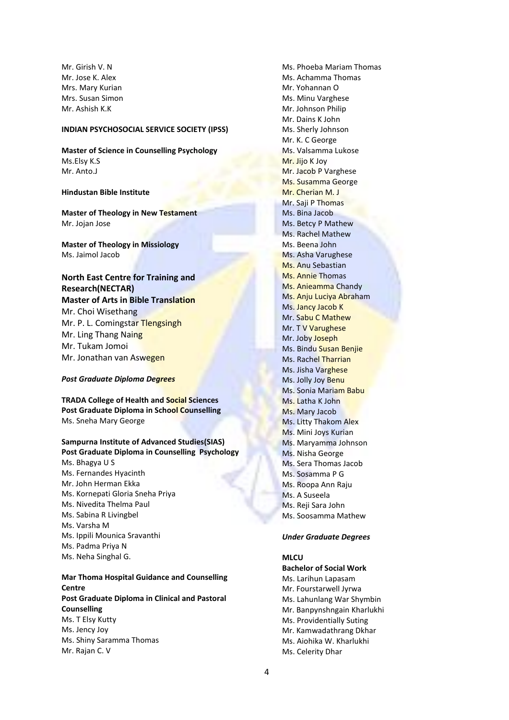Mr. Girish V. N Mr. Jose K. Alex Mrs. Mary Kurian Mrs. Susan Simon Mr. Ashish K.K

# **INDIAN PSYCHOSOCIAL SERVICE SOCIETY (IPSS)**

**Master of Science in Counselling Psychology** Ms.Elsy K.S Mr. Anto.J

### **Hindustan Bible Institute**

**Master of Theology in New Testament** Mr. Jojan Jose

**Master of Theology in Missiology** Ms. Jaimol Jacob

# **North East Centre for Training and Research(NECTAR) Master of Arts in Bible Translation** Mr. Choi Wisethang Mr. P. L. Comingstar Tlengsingh Mr. Ling Thang Naing Mr. Tukam Jomoi Mr. Jonathan van Aswegen

#### *Post Graduate Diploma Degrees*

**TRADA College of Health and Social Sciences Post Graduate Diploma in School Counselling** Ms. Sneha Mary George

### **Sampurna Institute of Advanced Studies(SIAS) Post Graduate Diploma in Counselling Psychology**

Ms. Bhagya U S Ms. Fernandes Hyacinth Mr. John Herman Ekka Ms. Kornepati Gloria Sneha Priya Ms. Nivedita Thelma Paul Ms. Sabina R Livingbel Ms. Varsha M Ms. Ippili Mounica Sravanthi Ms. Padma Priya N Ms. Neha Singhal G.

# **Mar Thoma Hospital Guidance and Counselling Centre Post Graduate Diploma in Clinical and Pastoral**

**Counselling** Ms. T Elsy Kutty Ms. Jency Joy Ms. Shiny Saramma Thomas Mr. Rajan C. V

Ms. Phoeba Mariam Thomas Ms. Achamma Thomas Mr. Yohannan O Ms. Minu Varghese Mr. Johnson Philip Mr. Dains K John Ms. Sherly Johnson Mr. K. C George Ms. Valsamma Lukose Mr. Jijo K Joy Mr. Jacob P Varghese Ms. Susamma George Mr. Cherian M. J Mr. Saji P Thomas Ms. Bina Jacob Ms. Betcy P Mathew Ms. Rachel Mathew Ms. Beena John Ms. Asha Varughese Ms. Anu Sebastian Ms. Annie Thomas Ms. Anieamma Chandy Ms. Anju Luciya Abraham Ms. Jancy Jacob K Mr. Sabu C Mathew Mr. T V Varughese Mr. Joby Joseph Ms. Bindu Susan Benjie Ms. Rachel Tharrian Ms. Jisha Varghese Ms. Jolly Joy Benu Ms. Sonia Mariam Babu Ms. Latha K John Ms. Mary Jacob Ms. Litty Thakom Alex Ms. Mini Joys Kurian Ms. Maryamma Johnson Ms. Nisha George Ms. Sera Thomas Jacob Ms. Sosamma P G Ms. Roopa Ann Raju Ms. A Suseela Ms. Reji Sara John Ms. Soosamma Mathew

#### *Under Graduate Degrees*

# **MLCU**

**Bachelor of Social Work** Ms. Larihun Lapasam Mr. Fourstarwell Jyrwa Ms. Lahunlang War Shymbin Mr. Banpynshngain Kharlukhi Ms. Providentially Suting Mr. Kamwadathrang Dkhar Ms. Aiohika W. Kharlukhi Ms. Celerity Dhar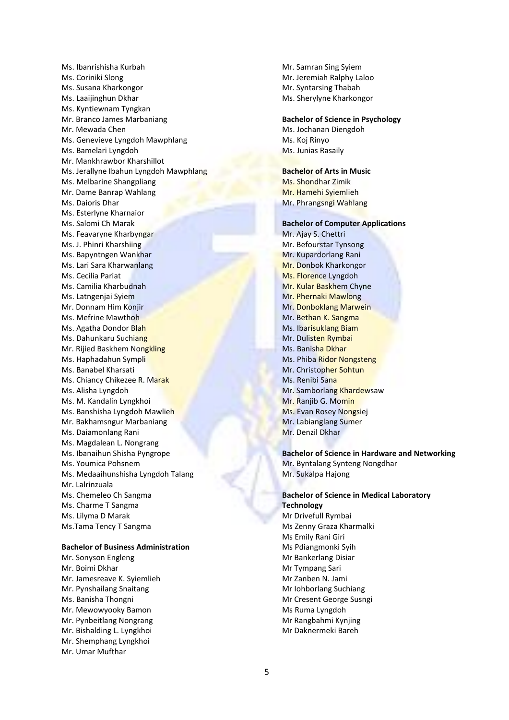Ms. Ibanrishisha Kurbah Ms. Coriniki Slong Ms. Susana Kharkongor Ms. Laaijinghun Dkhar Ms. Kyntiewnam Tyngkan Mr. Branco James Marbaniang Mr. Mewada Chen Ms. Genevieve Lyngdoh Mawphlang Ms. Bamelari Lyngdoh Mr. Mankhrawbor Kharshillot Ms. Jerallyne Ibahun Lyngdoh Mawphlang Ms. Melbarine Shangpliang Mr. Dame Banrap Wahlang Ms. Daioris Dhar Ms. Esterlyne Kharnaior Ms. Salomi Ch Marak Ms. Feavaryne Kharbyngar Ms. J. Phinri Kharshiing Ms. Bapyntngen Wankhar Ms. Lari Sara Kharwanlang Ms. Cecilia Pariat Ms. Camilia Kharbudnah Ms. Latngenjai Syiem Mr. Donnam Him Konjir Ms. Mefrine Mawthoh Ms. Agatha Dondor Blah Ms. Dahunkaru Suchiang Mr. Rijied Baskhem Nongkling Ms. Haphadahun Sympli Ms. Banabel Kharsati Ms. Chiancy Chikezee R. Marak Ms. Alisha Lyngdoh Ms. M. Kandalin Lyngkhoi Ms. Banshisha Lyngdoh Mawlieh Mr. Bakhamsngur Marbaniang Ms. Daiamonlang Rani Ms. Magdalean L. Nongrang Ms. Ibanaihun Shisha Pyngrope Ms. Youmica Pohsnem Ms. Medaaihunshisha Lyngdoh Talang Mr. Lalrinzuala Ms. Chemeleo Ch Sangma Ms. Charme T Sangma Ms. Lilyma D Marak Ms.Tama Tency T Sangma

### **Bachelor of Business Administration**

Mr. Sonyson Engleng Mr. Boimi Dkhar Mr. Jamesreave K. Syiemlieh Mr. Pynshailang Snaitang Ms. Banisha Thongni Mr. Mewowyooky Bamon Mr. Pynbeitlang Nongrang Mr. Bishalding L. Lyngkhoi Mr. Shemphang Lyngkhoi Mr. Umar Mufthar

Mr. Samran Sing Syiem Mr. Jeremiah Ralphy Laloo Mr. Syntarsing Thabah Ms. Sherylyne Kharkongor

# **Bachelor of Science in Psychology**

Ms. Jochanan Diengdoh Ms. Koj Rinyo Ms. Junias Rasaily

# **Bachelor of Arts in Music**

Ms. Shondhar Zimik Mr. Hamehi Syiemlieh Mr. Phrangsngi Wahlang

# **Bachelor of Computer Applications**

Mr. Ajay S. Chettri Mr. Befourstar Tynsong Mr. Kupardorlang Rani Mr. Donbok Kharkongor Ms. Florence Lyngdoh Mr. Kular Baskhem Chyne Mr. Phernaki Mawlong Mr. Donboklang Marwein Mr. Bethan K. Sangma Ms. Ibarisuklang Biam Mr. Dulisten Rymbai Ms. Banisha Dkhar Ms. Phiba Ridor Nongsteng Mr. Christopher Sohtun Ms. Renibi Sana Mr. Samborlang Khardewsaw Mr. Ranjib G. Momin Ms. Evan Rosey Nongsiej Mr. Labianglang Sumer Mr. Denzil Dkhar

# **Bachelor of Science in Hardware and Networking** Mr. Byntalang Synteng Nongdhar Mr. Sukalpa Hajong

**Bachelor of Science in Medical Laboratory Technology** Mr Drivefull Rymbai Ms Zenny Graza Kharmalki Ms Emily Rani Giri Ms Pdiangmonki Syih Mr Bankerlang Disiar Mr Tympang Sari Mr Zanben N. Jami Mr Iohborlang Suchiang Mr Cresent George Susngi Ms Ruma Lyngdoh Mr Rangbahmi Kynjing Mr Daknermeki Bareh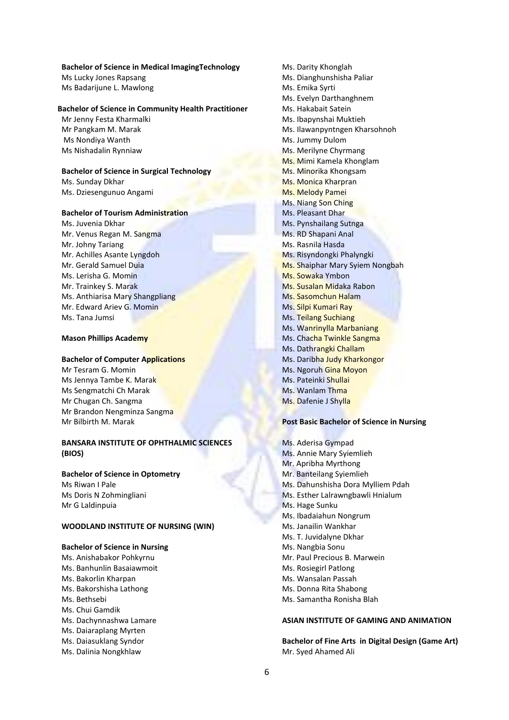### **Bachelor of Science in Medical ImagingTechnology**

Ms Lucky Jones Rapsang Ms Badarijune L. Mawlong

### **Bachelor of Science in Community Health Practitioner**

Mr Jenny Festa Kharmalki Mr Pangkam M. Marak Ms Nondiya Wanth Ms Nishadalin Rynniaw

### **Bachelor of Science in Surgical Technology** Ms. Sunday Dkhar

Ms. Dziesengunuo Angami

### **Bachelor of Tourism Administration**

Ms. Juvenia Dkhar Mr. Venus Regan M. Sangma Mr. Johny Tariang Mr. Achilles Asante Lyngdoh Mr. Gerald Samuel Duia Ms. Lerisha G. Momin Mr. Trainkey S. Marak Ms. Anthiarisa Mary Shangpliang Mr. Edward Ariev G. Momin Ms. Tana Jumsi

### **Mason Phillips Academy**

# **Bachelor of Computer Applications**

Mr Tesram G. Momin Ms Jennya Tambe K. Marak Ms Sengmatchi Ch Marak Mr Chugan Ch. Sangma Mr Brandon Nengminza Sangma Mr Bilbirth M. Marak

# **BANSARA INSTITUTE OF OPHTHALMIC SCIENCES (BIOS)**

### **Bachelor of Science in Optometry**

Ms Riwan I Pale Ms Doris N Zohmingliani Mr G Laldinpuia

### **WOODLAND INSTITUTE OF NURSING (WIN)**

# **Bachelor of Science in Nursing**

- Ms. Anishabakor Pohkyrnu
- Ms. Banhunlin Basaiawmoit
- Ms. Bakorlin Kharpan
- Ms. Bakorshisha Lathong
- Ms. Bethsebi
- Ms. Chui Gamdik
- Ms. Dachynnashwa Lamare
- Ms. Daiaraplang Myrten
- Ms. Daiasuklang Syndor
- Ms. Dalinia Nongkhlaw

Ms. Darity Khonglah Ms. Dianghunshisha Paliar Ms. Emika Syrti Ms. Evelyn Darthanghnem Ms. Hakabait Satein Ms. Ibapynshai Muktieh Ms. Ilawanpyntngen Kharsohnoh Ms. Jummy Dulom Ms. Merilyne Chyrmang Ms. Mimi Kamela Khonglam Ms. Minorika Khongsam Ms. Monica Kharpran Ms. Melody Pamei Ms. Niang Son Ching Ms. Pleasant Dhar Ms. Pynshailang Sutnga Ms. RD Shapani Anal Ms. Rasnila Hasda Ms. Risyndongki Phalyngki Ms. Shaiphar Mary Syiem Nongbah Ms. Sowaka Ymbon Ms. Susalan Midaka Rabon Ms. Sasomchun Halam Ms. Silpi Kumari Ray Ms. Teilang Suchiang Ms. Wanrinylla Marbaniang Ms. Chacha Twinkle Sangma Ms. Dathrangki Challam Ms. Daribha Judy Kharkongor Ms. Ngoruh Gina Moyon Ms. Pateinki Shullai Ms. Wanlam Thma Ms. Dafenie J Shylla

### **Post Basic Bachelor of Science in Nursing**

- Ms. Aderisa Gympad Ms. Annie Mary Syiemlieh Mr. Apribha Myrthong Mr. Banteilang Syiemlieh Ms. Dahunshisha Dora Mylliem Pdah Ms. Esther Lalrawngbawli Hnialum Ms. Hage Sunku Ms. Ibadaiahun Nongrum Ms. Janailin Wankhar Ms. T. Juvidalyne Dkhar Ms. Nangbia Sonu Mr. Paul Precious B. Marwein Ms. Rosiegirl Patlong Ms. Wansalan Passah Ms. Donna Rita Shabong
- Ms. Samantha Ronisha Blah

### **ASIAN INSTITUTE OF GAMING AND ANIMATION**

**Bachelor of Fine Arts in Digital Design (Game Art)** Mr. Syed Ahamed Ali